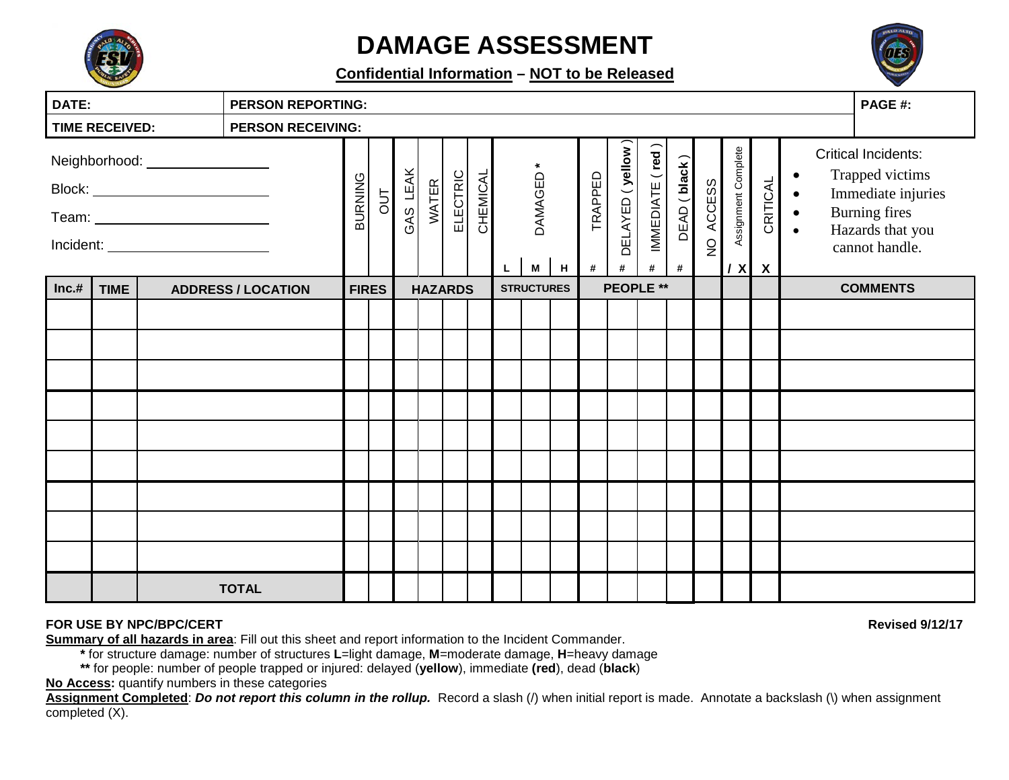

# **DAMAGE ASSESSMENT**

**Confidential Information – NOT to be Released**



| DATE:                                                                 |             | <b>PERSON REPORTING:</b> |                           |             |              |              |                 |          |    |                |                   |              |                       | PAGE #:              |                   |                                 |                                                  |                                       |                                                  |  |                                                                                                                                   |                 |
|-----------------------------------------------------------------------|-------------|--------------------------|---------------------------|-------------|--------------|--------------|-----------------|----------|----|----------------|-------------------|--------------|-----------------------|----------------------|-------------------|---------------------------------|--------------------------------------------------|---------------------------------------|--------------------------------------------------|--|-----------------------------------------------------------------------------------------------------------------------------------|-----------------|
| <b>TIME RECEIVED:</b><br><b>PERSON RECEIVING:</b>                     |             |                          |                           |             |              |              |                 |          |    |                |                   |              |                       |                      |                   |                                 |                                                  |                                       |                                                  |  |                                                                                                                                   |                 |
| Neighborhood: _________________<br>Incident: ________________________ |             |                          | BURNING                   | $rac{1}{2}$ | GAS LEAK     | <b>WATER</b> | <b>ELECTRIC</b> | CHEMICAL | L. | DAMAGED *<br>M | H                 | TRAPPED<br># | DELAYED (yellow)<br># | IMMEDIATE (red)<br># | DEAD (black)<br># | <b>ACCESS</b><br>$\overline{Q}$ | Assignment Complete<br>$\boldsymbol{\mathsf{x}}$ | CRITICAL<br>$\boldsymbol{\mathsf{X}}$ | $\bullet$<br>$\bullet$<br>$\bullet$<br>$\bullet$ |  | <b>Critical Incidents:</b><br>Trapped victims<br>Immediate injuries<br><b>Burning fires</b><br>Hazards that you<br>cannot handle. |                 |
| Inc.#                                                                 | <b>TIME</b> |                          | <b>ADDRESS / LOCATION</b> |             | <b>FIRES</b> |              | <b>HAZARDS</b>  |          |    |                | <b>STRUCTURES</b> |              |                       | PEOPLE **            |                   |                                 |                                                  |                                       |                                                  |  |                                                                                                                                   | <b>COMMENTS</b> |
|                                                                       |             |                          |                           |             |              |              |                 |          |    |                |                   |              |                       |                      |                   |                                 |                                                  |                                       |                                                  |  |                                                                                                                                   |                 |
|                                                                       |             |                          |                           |             |              |              |                 |          |    |                |                   |              |                       |                      |                   |                                 |                                                  |                                       |                                                  |  |                                                                                                                                   |                 |
|                                                                       |             |                          |                           |             |              |              |                 |          |    |                |                   |              |                       |                      |                   |                                 |                                                  |                                       |                                                  |  |                                                                                                                                   |                 |
|                                                                       |             |                          |                           |             |              |              |                 |          |    |                |                   |              |                       |                      |                   |                                 |                                                  |                                       |                                                  |  |                                                                                                                                   |                 |
|                                                                       |             |                          |                           |             |              |              |                 |          |    |                |                   |              |                       |                      |                   |                                 |                                                  |                                       |                                                  |  |                                                                                                                                   |                 |
|                                                                       |             |                          |                           |             |              |              |                 |          |    |                |                   |              |                       |                      |                   |                                 |                                                  |                                       |                                                  |  |                                                                                                                                   |                 |
|                                                                       |             |                          |                           |             |              |              |                 |          |    |                |                   |              |                       |                      |                   |                                 |                                                  |                                       |                                                  |  |                                                                                                                                   |                 |
|                                                                       |             |                          |                           |             |              |              |                 |          |    |                |                   |              |                       |                      |                   |                                 |                                                  |                                       |                                                  |  |                                                                                                                                   |                 |
|                                                                       |             |                          |                           |             |              |              |                 |          |    |                |                   |              |                       |                      |                   |                                 |                                                  |                                       |                                                  |  |                                                                                                                                   |                 |
|                                                                       |             |                          | <b>TOTAL</b>              |             |              |              |                 |          |    |                |                   |              |                       |                      |                   |                                 |                                                  |                                       |                                                  |  |                                                                                                                                   |                 |

#### **FOR USE BY NPC/BPC/CERT Revised 9/12/17**

**Summary of all hazards in area**: Fill out this sheet and report information to the Incident Commander.

**\*** for structure damage: number of structures **L**=light damage, **M**=moderate damage, **H**=heavy damage

**\*\*** for people: number of people trapped or injured: delayed (**yellow**), immediate **(red**), dead (**black**)

**No Access:** quantify numbers in these categories

**Assignment Completed**: *Do not report this column in the rollup.* Record a slash (/) when initial report is made. Annotate a backslash (\) when assignment completed (X).